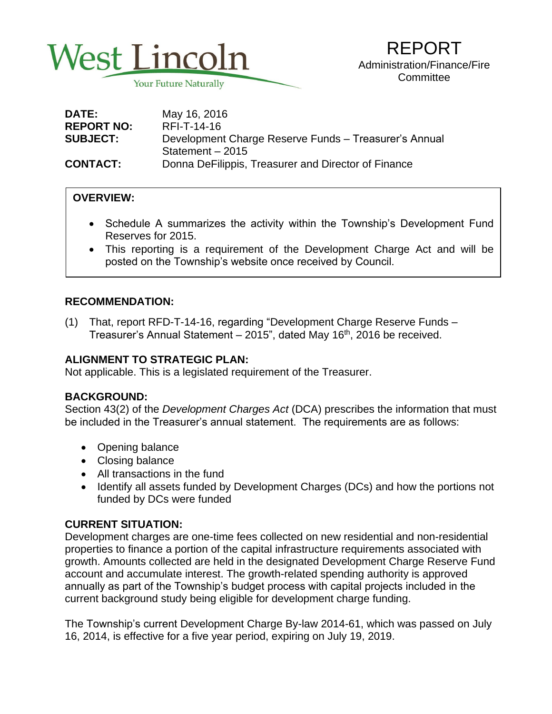

| <b>DATE:</b>      | May 16, 2016                                          |
|-------------------|-------------------------------------------------------|
| <b>REPORT NO:</b> | RFI-T-14-16                                           |
| <b>SUBJECT:</b>   | Development Charge Reserve Funds - Treasurer's Annual |
|                   | Statement - 2015                                      |
| <b>CONTACT:</b>   | Donna DeFilippis, Treasurer and Director of Finance   |

## **OVERVIEW:**

- • Schedule A summarizes the activity within the Township's Development Fund Reserves for 2015.
- This reporting is a requirement of the Development Charge Act and will be posted on the Township's website once received by Council.

## **RECOMMENDATION:**

(1) That, report RFD-T-14-16, regarding "Development Charge Reserve Funds – Treasurer's Annual Statement - 2015", dated May 16<sup>th</sup>, 2016 be received.

# **ALIGNMENT TO STRATEGIC PLAN:**

Not applicable. This is a legislated requirement of the Treasurer.

## **BACKGROUND:**

Section 43(2) of the *Development Charges Act* (DCA) prescribes the information that must be included in the Treasurer's annual statement. The requirements are as follows:

- Opening balance
- Closing balance
- All transactions in the fund
- Identify all assets funded by Development Charges (DCs) and how the portions not funded by DCs were funded

## **CURRENT SITUATION:**

Development charges are one-time fees collected on new residential and non-residential properties to finance a portion of the capital infrastructure requirements associated with growth. Amounts collected are held in the designated Development Charge Reserve Fund account and accumulate interest. The growth-related spending authority is approved annually as part of the Township's budget process with capital projects included in the current background study being eligible for development charge funding.

The Township's current Development Charge By-law 2014-61, which was passed on July 16, 2014, is effective for a five year period, expiring on July 19, 2019.